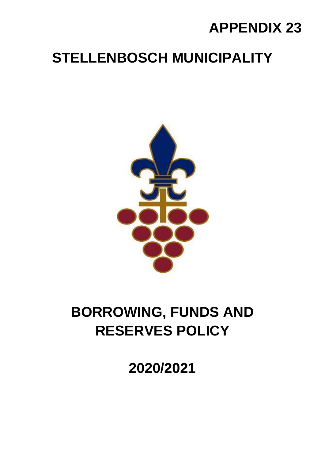## **APPENDIX 23**

## **STELLENBOSCH MUNICIPALITY**



# **BORROWING, FUNDS AND RESERVES POLICY**

**2020/2021**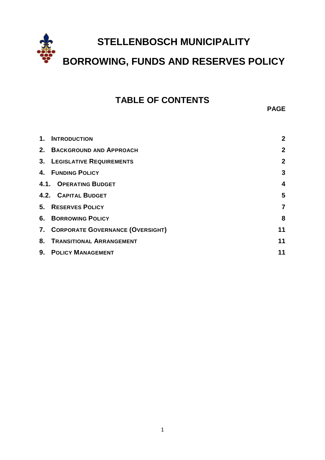

### **TABLE OF CONTENTS**

**PAGE**

| $\mathbf 1$ . | <b>INTRODUCTION</b>                 | $\mathbf{2}$   |
|---------------|-------------------------------------|----------------|
|               | 2. BACKGROUND AND APPROACH          | $\mathbf{2}$   |
|               | <b>3. LEGISLATIVE REQUIREMENTS</b>  | $\mathbf{2}$   |
|               | 4. FUNDING POLICY                   | 3              |
|               | <b>4.1. OPERATING BUDGET</b>        | 4              |
|               | <b>4.2. CAPITAL BUDGET</b>          | 5              |
|               | 5. RESERVES POLICY                  | $\overline{7}$ |
|               | <b>6. BORROWING POLICY</b>          | 8              |
|               | 7. CORPORATE GOVERNANCE (OVERSIGHT) | 11             |
|               | 8. TRANSITIONAL ARRANGEMENT         | 11             |
|               | 9. POLICY MANAGEMENT                | 11             |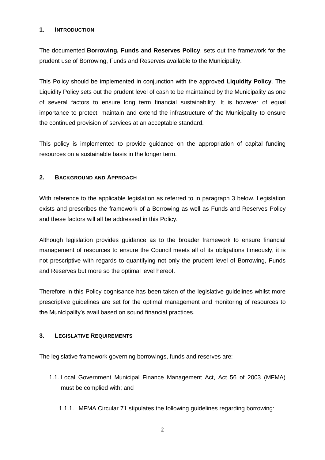#### <span id="page-2-0"></span>**1. INTRODUCTION**

The documented **Borrowing, Funds and Reserves Policy**, sets out the framework for the prudent use of Borrowing, Funds and Reserves available to the Municipality.

This Policy should be implemented in conjunction with the approved **Liquidity Policy**. The Liquidity Policy sets out the prudent level of cash to be maintained by the Municipality as one of several factors to ensure long term financial sustainability. It is however of equal importance to protect, maintain and extend the infrastructure of the Municipality to ensure the continued provision of services at an acceptable standard.

This policy is implemented to provide guidance on the appropriation of capital funding resources on a sustainable basis in the longer term.

#### <span id="page-2-1"></span>**2. BACKGROUND AND APPROACH**

With reference to the applicable legislation as referred to in paragraph 3 below. Legislation exists and prescribes the framework of a Borrowing as well as Funds and Reserves Policy and these factors will all be addressed in this Policy.

Although legislation provides guidance as to the broader framework to ensure financial management of resources to ensure the Council meets all of its obligations timeously, it is not prescriptive with regards to quantifying not only the prudent level of Borrowing, Funds and Reserves but more so the optimal level hereof.

Therefore in this Policy cognisance has been taken of the legislative guidelines whilst more prescriptive guidelines are set for the optimal management and monitoring of resources to the Municipality's avail based on sound financial practices.

#### <span id="page-2-2"></span>**3. LEGISLATIVE REQUIREMENTS**

The legislative framework governing borrowings, funds and reserves are:

- 1.1. Local Government Municipal Finance Management Act, Act 56 of 2003 (MFMA) must be complied with; and
	- 1.1.1. MFMA Circular 71 stipulates the following guidelines regarding borrowing: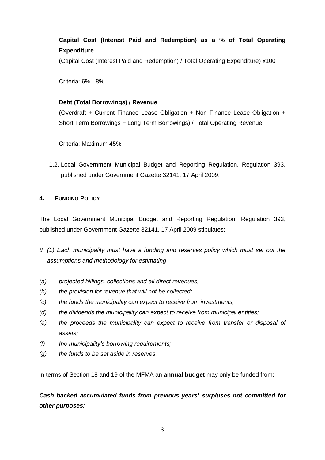### **Capital Cost (Interest Paid and Redemption) as a % of Total Operating Expenditure**

(Capital Cost (Interest Paid and Redemption) / Total Operating Expenditure) x100

Criteria: 6% - 8%

#### **Debt (Total Borrowings) / Revenue**

(Overdraft + Current Finance Lease Obligation + Non Finance Lease Obligation + Short Term Borrowings + Long Term Borrowings) / Total Operating Revenue

Criteria: Maximum 45%

1.2. Local Government Municipal Budget and Reporting Regulation, Regulation 393, published under Government Gazette 32141, 17 April 2009.

#### <span id="page-3-0"></span>**4. FUNDING POLICY**

The Local Government Municipal Budget and Reporting Regulation, Regulation 393, published under Government Gazette 32141, 17 April 2009 stipulates:

- *8. (1) Each municipality must have a funding and reserves policy which must set out the assumptions and methodology for estimating –*
- *(a) projected billings, collections and all direct revenues;*
- *(b) the provision for revenue that will not be collected;*
- *(c) the funds the municipality can expect to receive from investments;*
- *(d) the dividends the municipality can expect to receive from municipal entities;*
- *(e) the proceeds the municipality can expect to receive from transfer or disposal of assets;*
- *(f) the municipality's borrowing requirements;*
- *(g) the funds to be set aside in reserves.*

In terms of Section 18 and 19 of the MFMA an **annual budget** may only be funded from:

*Cash backed accumulated funds from previous years' surpluses not committed for other purposes:*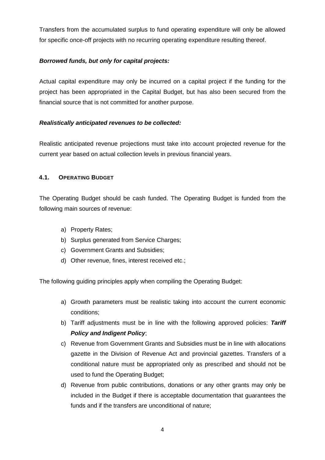Transfers from the accumulated surplus to fund operating expenditure will only be allowed for specific once-off projects with no recurring operating expenditure resulting thereof.

#### *Borrowed funds, but only for capital projects:*

Actual capital expenditure may only be incurred on a capital project if the funding for the project has been appropriated in the Capital Budget, but has also been secured from the financial source that is not committed for another purpose.

#### *Realistically anticipated revenues to be collected:*

Realistic anticipated revenue projections must take into account projected revenue for the current year based on actual collection levels in previous financial years.

#### <span id="page-4-0"></span>**4.1. OPERATING BUDGET**

The Operating Budget should be cash funded. The Operating Budget is funded from the following main sources of revenue:

- a) Property Rates;
- b) Surplus generated from Service Charges;
- c) Government Grants and Subsidies;
- d) Other revenue, fines, interest received etc.;

The following guiding principles apply when compiling the Operating Budget:

- a) Growth parameters must be realistic taking into account the current economic conditions;
- b) Tariff adjustments must be in line with the following approved policies: *Tariff Policy and Indigent Policy*;
- c) Revenue from Government Grants and Subsidies must be in line with allocations gazette in the Division of Revenue Act and provincial gazettes. Transfers of a conditional nature must be appropriated only as prescribed and should not be used to fund the Operating Budget;
- d) Revenue from public contributions, donations or any other grants may only be included in the Budget if there is acceptable documentation that guarantees the funds and if the transfers are unconditional of nature;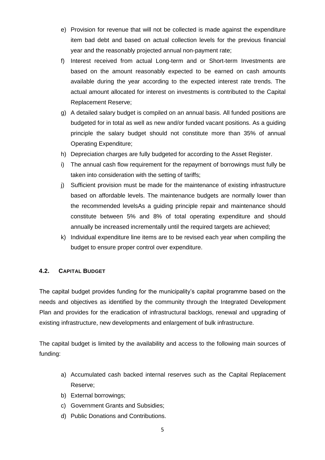- e) Provision for revenue that will not be collected is made against the expenditure item bad debt and based on actual collection levels for the previous financial year and the reasonably projected annual non-payment rate;
- f) Interest received from actual Long-term and or Short-term Investments are based on the amount reasonably expected to be earned on cash amounts available during the year according to the expected interest rate trends. The actual amount allocated for interest on investments is contributed to the Capital Replacement Reserve;
- g) A detailed salary budget is compiled on an annual basis. All funded positions are budgeted for in total as well as new and/or funded vacant positions. As a guiding principle the salary budget should not constitute more than 35% of annual Operating Expenditure;
- h) Depreciation charges are fully budgeted for according to the Asset Register.
- i) The annual cash flow requirement for the repayment of borrowings must fully be taken into consideration with the setting of tariffs;
- j) Sufficient provision must be made for the maintenance of existing infrastructure based on affordable levels. The maintenance budgets are normally lower than the recommended levelsAs a guiding principle repair and maintenance should constitute between 5% and 8% of total operating expenditure and should annually be increased incrementally until the required targets are achieved;
- k) Individual expenditure line items are to be revised each year when compiling the budget to ensure proper control over expenditure.

#### <span id="page-5-0"></span>**4.2. CAPITAL BUDGET**

The capital budget provides funding for the municipality's capital programme based on the needs and objectives as identified by the community through the Integrated Development Plan and provides for the eradication of infrastructural backlogs, renewal and upgrading of existing infrastructure, new developments and enlargement of bulk infrastructure.

The capital budget is limited by the availability and access to the following main sources of funding:

- a) Accumulated cash backed internal reserves such as the Capital Replacement Reserve;
- b) External borrowings;
- c) Government Grants and Subsidies;
- d) Public Donations and Contributions.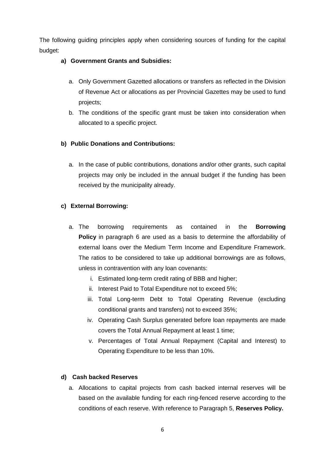The following guiding principles apply when considering sources of funding for the capital budget:

#### **a) Government Grants and Subsidies:**

- a. Only Government Gazetted allocations or transfers as reflected in the Division of Revenue Act or allocations as per Provincial Gazettes may be used to fund projects;
- b. The conditions of the specific grant must be taken into consideration when allocated to a specific project.

#### **b) Public Donations and Contributions:**

a. In the case of public contributions, donations and/or other grants, such capital projects may only be included in the annual budget if the funding has been received by the municipality already.

#### **c) External Borrowing:**

- a. The borrowing requirements as contained in the **Borrowing Policy** in paragraph 6 are used as a basis to determine the affordability of external loans over the Medium Term Income and Expenditure Framework. The ratios to be considered to take up additional borrowings are as follows, unless in contravention with any loan covenants:
	- i. Estimated long-term credit rating of BBB and higher;
	- ii. Interest Paid to Total Expenditure not to exceed 5%;
	- iii. Total Long-term Debt to Total Operating Revenue (excluding conditional grants and transfers) not to exceed 35%;
	- iv. Operating Cash Surplus generated before loan repayments are made covers the Total Annual Repayment at least 1 time;
	- v. Percentages of Total Annual Repayment (Capital and Interest) to Operating Expenditure to be less than 10%.

#### **d) Cash backed Reserves**

a. Allocations to capital projects from cash backed internal reserves will be based on the available funding for each ring-fenced reserve according to the conditions of each reserve. With reference to Paragraph 5, **Reserves Policy.**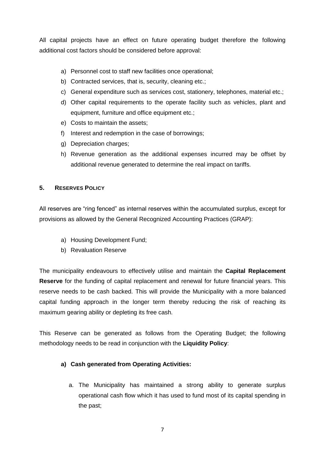All capital projects have an effect on future operating budget therefore the following additional cost factors should be considered before approval:

- a) Personnel cost to staff new facilities once operational;
- b) Contracted services, that is, security, cleaning etc.;
- c) General expenditure such as services cost, stationery, telephones, material etc.;
- d) Other capital requirements to the operate facility such as vehicles, plant and equipment, furniture and office equipment etc.;
- e) Costs to maintain the assets;
- f) Interest and redemption in the case of borrowings;
- g) Depreciation charges;
- h) Revenue generation as the additional expenses incurred may be offset by additional revenue generated to determine the real impact on tariffs.

#### <span id="page-7-0"></span>**5. RESERVES POLICY**

All reserves are "ring fenced" as internal reserves within the accumulated surplus, except for provisions as allowed by the General Recognized Accounting Practices (GRAP):

- a) Housing Development Fund;
- b) Revaluation Reserve

The municipality endeavours to effectively utilise and maintain the **Capital Replacement Reserve** for the funding of capital replacement and renewal for future financial years. This reserve needs to be cash backed. This will provide the Municipality with a more balanced capital funding approach in the longer term thereby reducing the risk of reaching its maximum gearing ability or depleting its free cash.

This Reserve can be generated as follows from the Operating Budget; the following methodology needs to be read in conjunction with the **Liquidity Policy**:

#### **a) Cash generated from Operating Activities:**

a. The Municipality has maintained a strong ability to generate surplus operational cash flow which it has used to fund most of its capital spending in the past;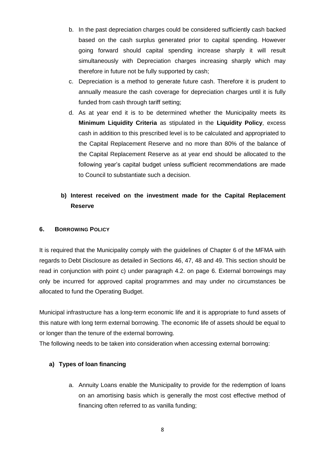- b. In the past depreciation charges could be considered sufficiently cash backed based on the cash surplus generated prior to capital spending. However going forward should capital spending increase sharply it will result simultaneously with Depreciation charges increasing sharply which may therefore in future not be fully supported by cash;
- c. Depreciation is a method to generate future cash. Therefore it is prudent to annually measure the cash coverage for depreciation charges until it is fully funded from cash through tariff setting;
- d. As at year end it is to be determined whether the Municipality meets its **Minimum Liquidity Criteria** as stipulated in the **Liquidity Policy**, excess cash in addition to this prescribed level is to be calculated and appropriated to the Capital Replacement Reserve and no more than 80% of the balance of the Capital Replacement Reserve as at year end should be allocated to the following year's capital budget unless sufficient recommendations are made to Council to substantiate such a decision.

### **b) Interest received on the investment made for the Capital Replacement Reserve**

#### <span id="page-8-0"></span>**6. BORROWING POLICY**

It is required that the Municipality comply with the guidelines of Chapter 6 of the MFMA with regards to Debt Disclosure as detailed in Sections 46, 47, 48 and 49. This section should be read in conjunction with point c) under paragraph 4.2. on page 6. External borrowings may only be incurred for approved capital programmes and may under no circumstances be allocated to fund the Operating Budget.

Municipal infrastructure has a long-term economic life and it is appropriate to fund assets of this nature with long term external borrowing. The economic life of assets should be equal to or longer than the tenure of the external borrowing.

The following needs to be taken into consideration when accessing external borrowing:

#### **a) Types of loan financing**

a. Annuity Loans enable the Municipality to provide for the redemption of loans on an amortising basis which is generally the most cost effective method of financing often referred to as vanilla funding;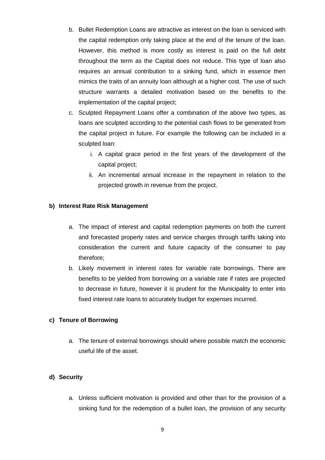- b. Bullet Redemption Loans are attractive as interest on the loan is serviced with the capital redemption only taking place at the end of the tenure of the loan. However, this method is more costly as interest is paid on the full debt throughout the term as the Capital does not reduce. This type of loan also requires an annual contribution to a sinking fund, which in essence then mimics the traits of an annuity loan although at a higher cost. The use of such structure warrants a detailed motivation based on the benefits to the implementation of the capital project;
- c. Sculpted Repayment Loans offer a combination of the above two types, as loans are sculpted according to the potential cash flows to be generated from the capital project in future. For example the following can be included in a sculpted loan:
	- i. A capital grace period in the first years of the development of the capital project;
	- ii. An incremental annual increase in the repayment in relation to the projected growth in revenue from the project.

#### **b) Interest Rate Risk Management**

- a. The impact of interest and capital redemption payments on both the current and forecasted property rates and service charges through tariffs taking into consideration the current and future capacity of the consumer to pay therefore;
- b. Likely movement in interest rates for variable rate borrowings. There are benefits to be yielded from borrowing on a variable rate if rates are projected to decrease in future, however it is prudent for the Municipality to enter into fixed interest rate loans to accurately budget for expenses incurred.

#### **c) Tenure of Borrowing**

a. The tenure of external borrowings should where possible match the economic useful life of the asset.

#### **d) Security**

a. Unless sufficient motivation is provided and other than for the provision of a sinking fund for the redemption of a bullet loan, the provision of any security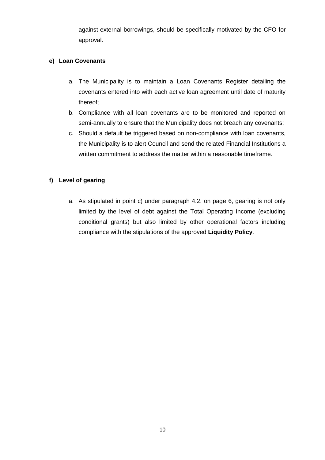against external borrowings, should be specifically motivated by the CFO for approval.

#### **e) Loan Covenants**

- a. The Municipality is to maintain a Loan Covenants Register detailing the covenants entered into with each active loan agreement until date of maturity thereof;
- b. Compliance with all loan covenants are to be monitored and reported on semi-annually to ensure that the Municipality does not breach any covenants;
- c. Should a default be triggered based on non-compliance with loan covenants, the Municipality is to alert Council and send the related Financial Institutions a written commitment to address the matter within a reasonable timeframe.

#### **f) Level of gearing**

a. As stipulated in point c) under paragraph 4.2. on page 6, gearing is not only limited by the level of debt against the Total Operating Income (excluding conditional grants) but also limited by other operational factors including compliance with the stipulations of the approved **Liquidity Policy**.